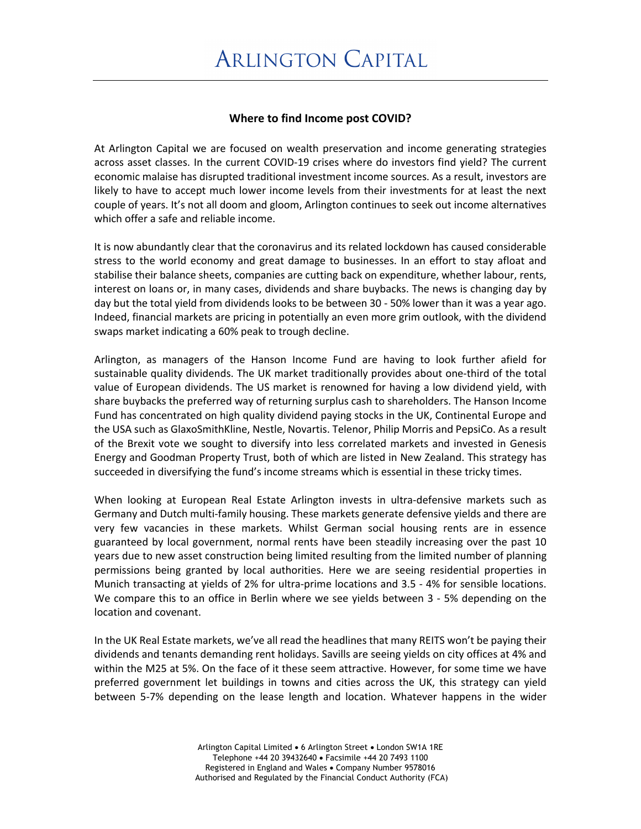## **Where to find Income post COVID?**

At Arlington Capital we are focused on wealth preservation and income generating strategies across asset classes. In the current COVID-19 crises where do investors find yield? The current economic malaise has disrupted traditional investment income sources. As a result, investors are likely to have to accept much lower income levels from their investments for at least the next couple of years. It's not all doom and gloom, Arlington continues to seek out income alternatives which offer a safe and reliable income.

It is now abundantly clear that the coronavirus and its related lockdown has caused considerable stress to the world economy and great damage to businesses. In an effort to stay afloat and stabilise their balance sheets, companies are cutting back on expenditure, whether labour, rents, interest on loans or, in many cases, dividends and share buybacks. The news is changing day by day but the total yield from dividends looks to be between 30 - 50% lower than it was a year ago. Indeed, financial markets are pricing in potentially an even more grim outlook, with the dividend swaps market indicating a 60% peak to trough decline.

Arlington, as managers of the Hanson Income Fund are having to look further afield for sustainable quality dividends. The UK market traditionally provides about one-third of the total value of European dividends. The US market is renowned for having a low dividend yield, with share buybacks the preferred way of returning surplus cash to shareholders. The Hanson Income Fund has concentrated on high quality dividend paying stocks in the UK, Continental Europe and the USA such as GlaxoSmithKline, Nestle, Novartis. Telenor, Philip Morris and PepsiCo. As a result of the Brexit vote we sought to diversify into less correlated markets and invested in Genesis Energy and Goodman Property Trust, both of which are listed in New Zealand. This strategy has succeeded in diversifying the fund's income streams which is essential in these tricky times.

When looking at European Real Estate Arlington invests in ultra-defensive markets such as Germany and Dutch multi-family housing. These markets generate defensive yields and there are very few vacancies in these markets. Whilst German social housing rents are in essence guaranteed by local government, normal rents have been steadily increasing over the past 10 years due to new asset construction being limited resulting from the limited number of planning permissions being granted by local authorities. Here we are seeing residential properties in Munich transacting at yields of 2% for ultra-prime locations and 3.5 - 4% for sensible locations. We compare this to an office in Berlin where we see yields between 3 - 5% depending on the location and covenant.

In the UK Real Estate markets, we've all read the headlines that many REITS won't be paying their dividends and tenants demanding rent holidays. Savills are seeing yields on city offices at 4% and within the M25 at 5%. On the face of it these seem attractive. However, for some time we have preferred government let buildings in towns and cities across the UK, this strategy can yield between 5-7% depending on the lease length and location. Whatever happens in the wider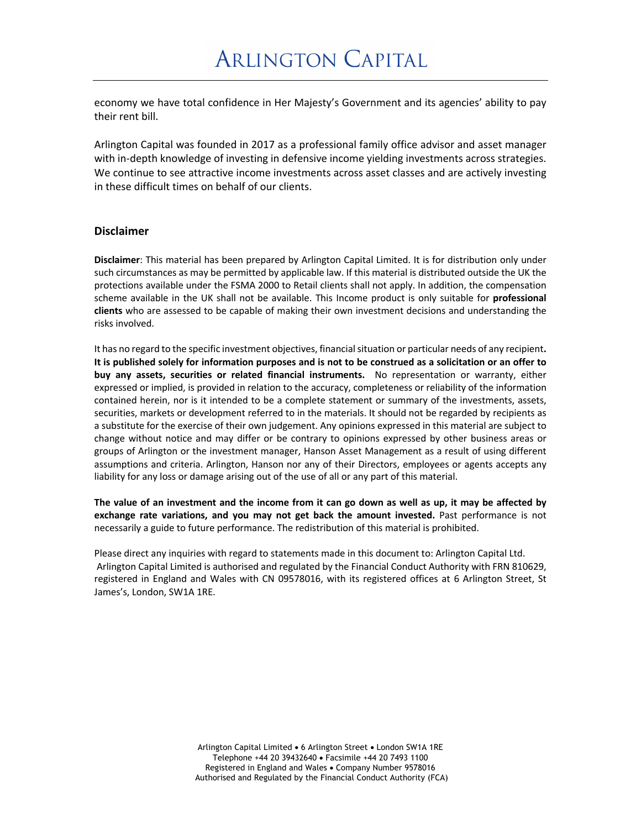economy we have total confidence in Her Majesty's Government and its agencies' ability to pay their rent bill.

Arlington Capital was founded in 2017 as a professional family office advisor and asset manager with in-depth knowledge of investing in defensive income yielding investments across strategies. We continue to see attractive income investments across asset classes and are actively investing in these difficult times on behalf of our clients.

## **Disclaimer**

**Disclaimer**: This material has been prepared by Arlington Capital Limited. It is for distribution only under such circumstances as may be permitted by applicable law. If this material is distributed outside the UK the protections available under the FSMA 2000 to Retail clients shall not apply. In addition, the compensation scheme available in the UK shall not be available. This Income product is only suitable for **professional clients** who are assessed to be capable of making their own investment decisions and understanding the risks involved.

It has no regard to the specific investment objectives, financial situation or particular needs of any recipient**. It is published solely for information purposes and is not to be construed as a solicitation or an offer to buy any assets, securities or related financial instruments.** No representation or warranty, either expressed or implied, is provided in relation to the accuracy, completeness or reliability of the information contained herein, nor is it intended to be a complete statement or summary of the investments, assets, securities, markets or development referred to in the materials. It should not be regarded by recipients as a substitute for the exercise of their own judgement. Any opinions expressed in this material are subject to change without notice and may differ or be contrary to opinions expressed by other business areas or groups of Arlington or the investment manager, Hanson Asset Management as a result of using different assumptions and criteria. Arlington, Hanson nor any of their Directors, employees or agents accepts any liability for any loss or damage arising out of the use of all or any part of this material.

**The value of an investment and the income from it can go down as well as up, it may be affected by exchange rate variations, and you may not get back the amount invested.** Past performance is not necessarily a guide to future performance. The redistribution of this material is prohibited.

Please direct any inquiries with regard to statements made in this document to: Arlington Capital Ltd. Arlington Capital Limited is authorised and regulated by the Financial Conduct Authority with FRN 810629, registered in England and Wales with CN 09578016, with its registered offices at 6 Arlington Street, St James's, London, SW1A 1RE.